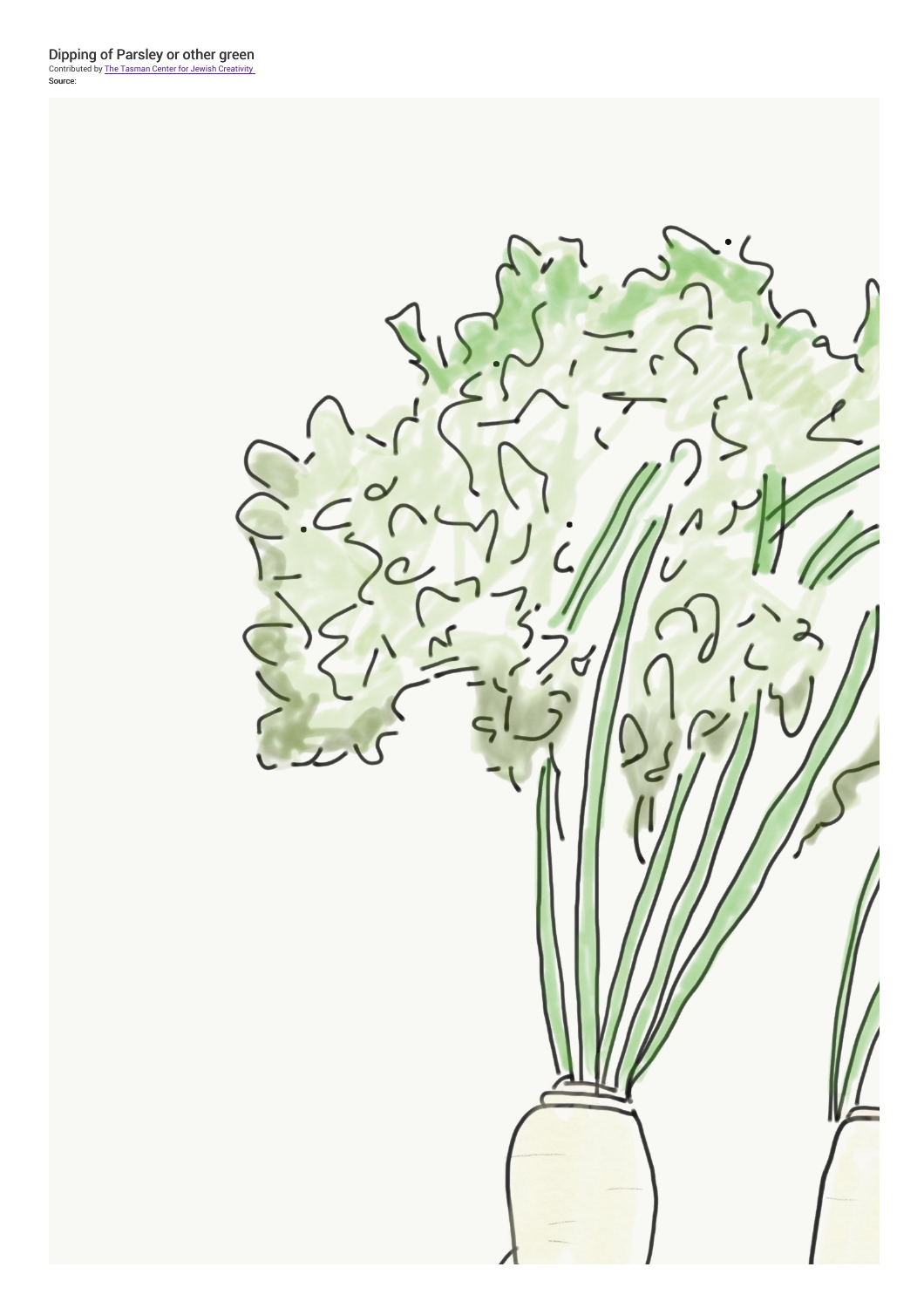